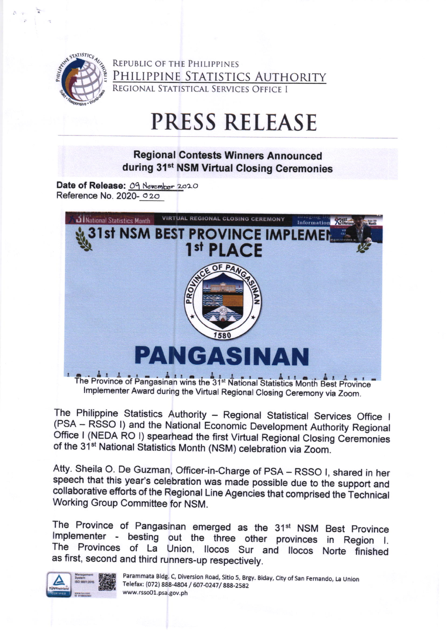

REPUBLIC OF THE PHILIPPINES PHILIPPINE STATISTICS AUTHORITY REGIONAL STATISTICAL SERVICES OFFICE I

# **PRESS RELEASE**

## **Regional Contests Winners Announced** during 31<sup>st</sup> NSM Virtual Closing Ceremonies

Date of Release: 09 November 2020 Reference No. 2020- 020



The Philippine Statistics Authority - Regional Statistical Services Office I (PSA - RSSO I) and the National Economic Development Authority Regional Office I (NEDA RO I) spearhead the first Virtual Regional Closing Ceremonies of the 31<sup>st</sup> National Statistics Month (NSM) celebration via Zoom.

Atty. Sheila O. De Guzman, Officer-in-Charge of PSA - RSSO I, shared in her speech that this year's celebration was made possible due to the support and collaborative efforts of the Regional Line Agencies that comprised the Technical Working Group Committee for NSM.

The Province of Pangasinan emerged as the 31<sup>st</sup> NSM Best Province Implementer - besting out the three other provinces in Region I. The Provinces of La Union, Ilocos Sur and Ilocos Norte finished as first, second and third runners-up respectively.